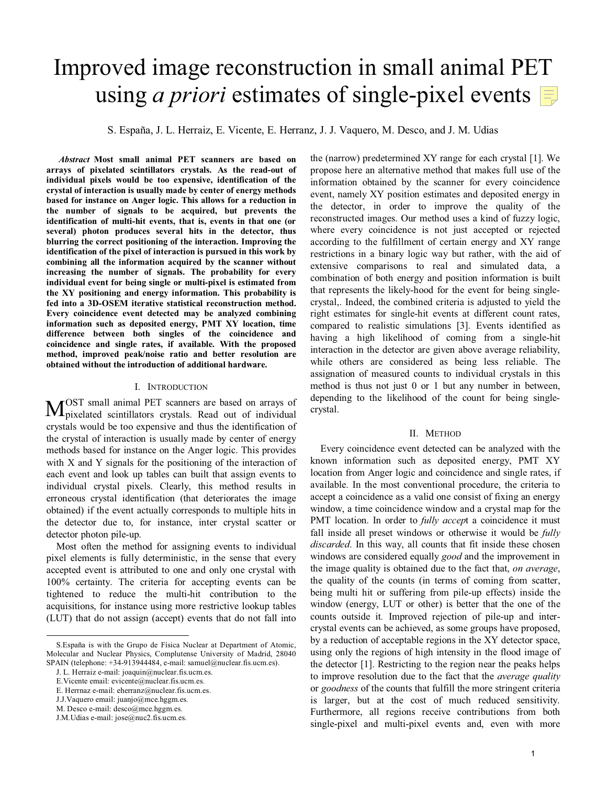# Improved image reconstruction in small animal PET using *a priori* estimates of single-pixel events  $\equiv$

S. España, J. L. Herraiz, E. Vicente, E. Herranz, J. J. Vaquero, M. Desco, and J. M. Udias

 *Abstract* **Most small animal PET scanners are based on arrays of pixelated scintillators crystals. As the read-out of individual pixels would be too expensive, identification of the crystal of interaction is usually made by center of energy methods based for instance on Anger logic. This allows for a reduction in the number of signals to be acquired, but prevents the identification of multi-hit events, that is, events in that one (or several) photon produces several hits in the detector, thus blurring the correct positioning of the interaction. Improving the identification of the pixel of interaction is pursued in this work by combining all the information acquired by the scanner without increasing the number of signals. The probability for every individual event for being single or multi-pixel is estimated from the XY positioning and energy information. This probability is fed into a 3D-OSEM iterative statistical reconstruction method. Every coincidence event detected may be analyzed combining information such as deposited energy, PMT XY location, time difference between both singles of the coincidence and coincidence and single rates, if available. With the proposed method, improved peak/noise ratio and better resolution are obtained without the introduction of additional hardware.** 

#### I. INTRODUCTION

OST small animal PET scanners are based on arrays of MOST small animal PET scanners are based on arrays of pixelated scintillators crystals. Read out of individual crystals would be too expensive and thus the identification of the crystal of interaction is usually made by center of energy methods based for instance on the Anger logic. This provides with X and Y signals for the positioning of the interaction of each event and look up tables can built that assign events to individual crystal pixels. Clearly, this method results in erroneous crystal identification (that deteriorates the image obtained) if the event actually corresponds to multiple hits in the detector due to, for instance, inter crystal scatter or detector photon pile-up.

Most often the method for assigning events to individual pixel elements is fully deterministic, in the sense that every accepted event is attributed to one and only one crystal with 100% certainty. The criteria for accepting events can be tightened to reduce the multi-hit contribution to the acquisitions, for instance using more restrictive lookup tables (LUT) that do not assign (accept) events that do not fall into

the (narrow) predetermined XY range for each crystal [1]. We propose here an alternative method that makes full use of the information obtained by the scanner for every coincidence event, namely XY position estimates and deposited energy in the detector, in order to improve the quality of the reconstructed images. Our method uses a kind of fuzzy logic, where every coincidence is not just accepted or rejected according to the fulfillment of certain energy and XY range restrictions in a binary logic way but rather, with the aid of extensive comparisons to real and simulated data, a combination of both energy and position information is built that represents the likely-hood for the event for being singlecrystal,. Indeed, the combined criteria is adjusted to yield the right estimates for single-hit events at different count rates, compared to realistic simulations [3]. Events identified as having a high likelihood of coming from a single-hit interaction in the detector are given above average reliability, while others are considered as being less reliable. The assignation of measured counts to individual crystals in this method is thus not just 0 or 1 but any number in between, depending to the likelihood of the count for being singlecrystal.

## II. METHOD

Every coincidence event detected can be analyzed with the known information such as deposited energy, PMT XY location from Anger logic and coincidence and single rates, if available. In the most conventional procedure, the criteria to accept a coincidence as a valid one consist of fixing an energy window, a time coincidence window and a crystal map for the PMT location. In order to *fully accept* a coincidence it must fall inside all preset windows or otherwise it would be *fully discarded*. In this way, all counts that fit inside these chosen windows are considered equally *good* and the improvement in the image quality is obtained due to the fact that, *on average*, the quality of the counts (in terms of coming from scatter, being multi hit or suffering from pile-up effects) inside the window (energy, LUT or other) is better that the one of the counts outside it*.* Improved rejection of pile-up and intercrystal events can be achieved, as some groups have proposed, by a reduction of acceptable regions in the XY detector space, using only the regions of high intensity in the flood image of the detector [1]. Restricting to the region near the peaks helps to improve resolution due to the fact that the *average quality* or *goodness* of the counts that fulfill the more stringent criteria is larger, but at the cost of much reduced sensitivity. Furthermore, all regions receive contributions from both single-pixel and multi-pixel events and, even with more

S.España is with the Grupo de Física Nuclear at Department of Atomic, Molecular and Nuclear Physics, Complutense University of Madrid, 28040 SPAIN (telephone: +34-913944484, e-mail: samuel@nuclear.fis.ucm.es).

J. L. Herraiz e-mail: joaquin@nuclear.fis.ucm.es.

E.Vicente email: evicente@nuclear.fis.ucm.es.

E. Herrnaz e-mail: eherranz@nuclear.fis.ucm.es.

J.J.Vaquero email: juanjo@mce.hggm.es.

M. Desco e-mail: desco@mce.hggm.es.

J.M.Udias e-mail: jose@nuc2.fis.ucm.es.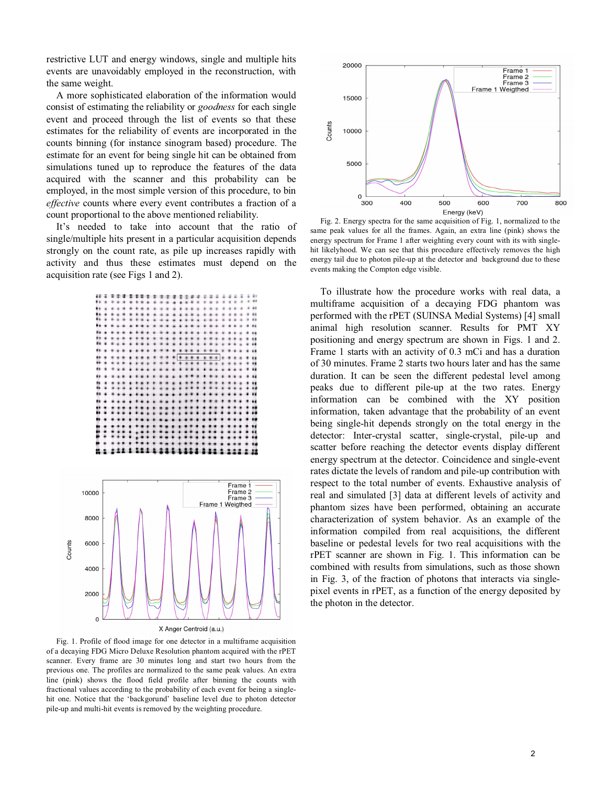restrictive LUT and energy windows, single and multiple hits events are unavoidably employed in the reconstruction, with the same weight.

A more sophisticated elaboration of the information would consist of estimating the reliability or *goodness* for each single event and proceed through the list of events so that these estimates for the reliability of events are incorporated in the counts binning (for instance sinogram based) procedure. The estimate for an event for being single hit can be obtained from simulations tuned up to reproduce the features of the data acquired with the scanner and this probability can be employed, in the most simple version of this procedure, to bin *effective* counts where every event contributes a fraction of a count proportional to the above mentioned reliability.

It's needed to take into account that the ratio of single/multiple hits present in a particular acquisition depends strongly on the count rate, as pile up increases rapidly with activity and thus these estimates must depend on the acquisition rate (see Figs 1 and 2).





X Anger Centroid (a.u.)

Fig. 1. Profile of flood image for one detector in a multiframe acquisition of a decaying FDG Micro Deluxe Resolution phantom acquired with the rPET scanner. Every frame are 30 minutes long and start two hours from the previous one. The profiles are normalized to the same peak values. An extra line (pink) shows the flood field profile after binning the counts with fractional values according to the probability of each event for being a singlehit one. Notice that the 'backgorund' baseline level due to photon detector pile-up and multi-hit events is removed by the weighting procedure.



Fig. 2. Energy spectra for the same acquisition of Fig. 1, normalized to the same peak values for all the frames. Again, an extra line (pink) shows the energy spectrum for Frame 1 after weighting every count with its with singlehit likelyhood. We can see that this procedure effectively removes the high energy tail due to photon pile-up at the detector and background due to these events making the Compton edge visible.

To illustrate how the procedure works with real data, a multiframe acquisition of a decaying FDG phantom was performed with the rPET (SUINSA Medial Systems) [4] small animal high resolution scanner. Results for PMT XY positioning and energy spectrum are shown in Figs. 1 and 2. Frame 1 starts with an activity of 0.3 mCi and has a duration of 30 minutes. Frame 2 starts two hours later and has the same duration. It can be seen the different pedestal level among peaks due to different pile-up at the two rates. Energy information can be combined with the XY position information, taken advantage that the probability of an event being single-hit depends strongly on the total energy in the detector: Inter-crystal scatter, single-crystal, pile-up and scatter before reaching the detector events display different energy spectrum at the detector. Coincidence and single-event rates dictate the levels of random and pile-up contribution with respect to the total number of events. Exhaustive analysis of real and simulated [3] data at different levels of activity and phantom sizes have been performed, obtaining an accurate characterization of system behavior. As an example of the information compiled from real acquisitions, the different baseline or pedestal levels for two real acquisitions with the rPET scanner are shown in Fig. 1. This information can be combined with results from simulations, such as those shown in Fig. 3, of the fraction of photons that interacts via singlepixel events in rPET, as a function of the energy deposited by the photon in the detector.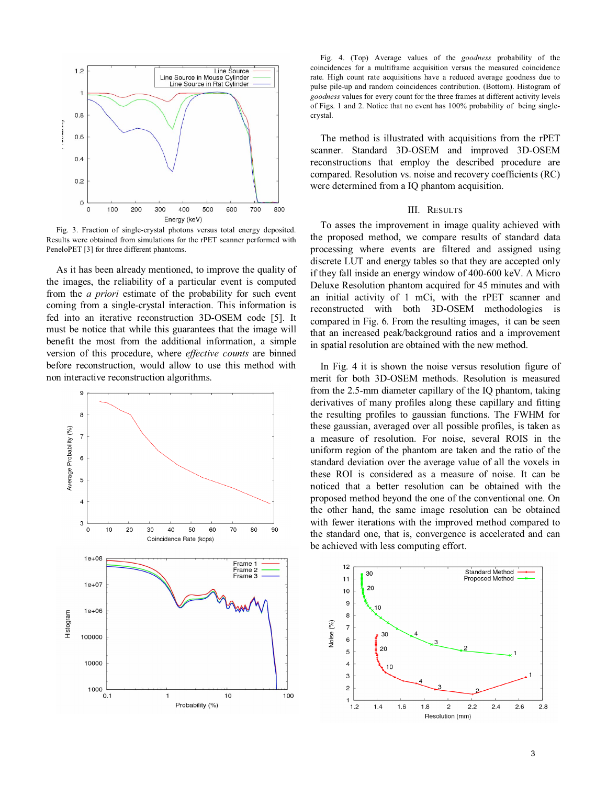

Fig. 3. Fraction of single-crystal photons versus total energy deposited. Results were obtained from simulations for the rPET scanner performed with PeneloPET [3] for three different phantoms.

As it has been already mentioned, to improve the quality of the images, the reliability of a particular event is computed from the *a priori* estimate of the probability for such event coming from a single-crystal interaction. This information is fed into an iterative reconstruction 3D-OSEM code [5]. It must be notice that while this guarantees that the image will benefit the most from the additional information, a simple version of this procedure, where *effective counts* are binned before reconstruction, would allow to use this method with non interactive reconstruction algorithms.



Fig. 4. (Top) Average values of the *goodness* probability of the coincidences for a multiframe acquisition versus the measured coincidence rate. High count rate acquisitions have a reduced average goodness due to pulse pile-up and random coincidences contribution. (Bottom). Histogram of *goodness* values for every count for the three frames at different activity levels of Figs. 1 and 2. Notice that no event has 100% probability of being singlecrystal.

The method is illustrated with acquisitions from the rPET scanner. Standard 3D-OSEM and improved 3D-OSEM reconstructions that employ the described procedure are compared. Resolution vs. noise and recovery coefficients (RC) were determined from a IQ phantom acquisition.

#### III. RESULTS

To asses the improvement in image quality achieved with the proposed method, we compare results of standard data processing where events are filtered and assigned using discrete LUT and energy tables so that they are accepted only if they fall inside an energy window of 400-600 keV. A Micro Deluxe Resolution phantom acquired for 45 minutes and with an initial activity of 1 mCi, with the rPET scanner and reconstructed with both 3D-OSEM methodologies is compared in Fig. 6. From the resulting images, it can be seen that an increased peak/background ratios and a improvement in spatial resolution are obtained with the new method.

In Fig. 4 it is shown the noise versus resolution figure of merit for both 3D-OSEM methods. Resolution is measured from the 2.5-mm diameter capillary of the IQ phantom, taking derivatives of many profiles along these capillary and fitting the resulting profiles to gaussian functions. The FWHM for these gaussian, averaged over all possible profiles, is taken as a measure of resolution. For noise, several ROIS in the uniform region of the phantom are taken and the ratio of the standard deviation over the average value of all the voxels in these ROI is considered as a measure of noise. It can be noticed that a better resolution can be obtained with the proposed method beyond the one of the conventional one. On the other hand, the same image resolution can be obtained with fewer iterations with the improved method compared to the standard one, that is, convergence is accelerated and can be achieved with less computing effort.

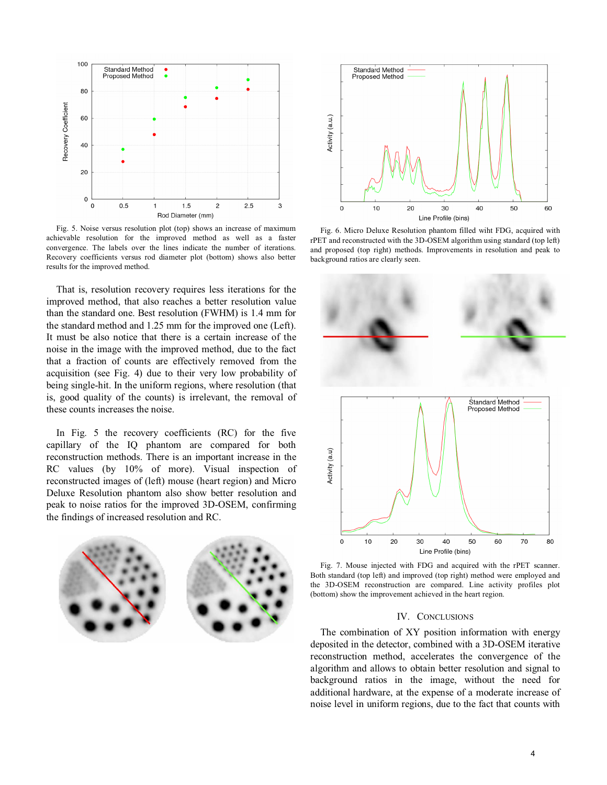

Fig. 5. Noise versus resolution plot (top) shows an increase of maximum achievable resolution for the improved method as well as a faster convergence. The labels over the lines indicate the number of iterations. Recovery coefficients versus rod diameter plot (bottom) shows also better results for the improved method.

That is, resolution recovery requires less iterations for the improved method, that also reaches a better resolution value than the standard one. Best resolution (FWHM) is 1.4 mm for the standard method and 1.25 mm for the improved one (Left). It must be also notice that there is a certain increase of the noise in the image with the improved method, due to the fact that a fraction of counts are effectively removed from the acquisition (see Fig. 4) due to their very low probability of being single-hit. In the uniform regions, where resolution (that is, good quality of the counts) is irrelevant, the removal of these counts increases the noise.

In Fig. 5 the recovery coefficients (RC) for the five capillary of the IQ phantom are compared for both reconstruction methods. There is an important increase in the RC values (by 10% of more). Visual inspection of reconstructed images of (left) mouse (heart region) and Micro Deluxe Resolution phantom also show better resolution and peak to noise ratios for the improved 3D-OSEM, confirming the findings of increased resolution and RC.





Fig. 6. Micro Deluxe Resolution phantom filled wiht FDG, acquired with rPET and reconstructed with the 3D-OSEM algorithm using standard (top left) and proposed (top right) methods. Improvements in resolution and peak to background ratios are clearly seen.



Fig. 7. Mouse injected with FDG and acquired with the rPET scanner. Both standard (top left) and improved (top right) method were employed and the 3D-OSEM reconstruction are compared. Line activity profiles plot (bottom) show the improvement achieved in the heart region.

### IV. CONCLUSIONS

The combination of XY position information with energy deposited in the detector, combined with a 3D-OSEM iterative reconstruction method, accelerates the convergence of the algorithm and allows to obtain better resolution and signal to background ratios in the image, without the need for additional hardware, at the expense of a moderate increase of noise level in uniform regions, due to the fact that counts with